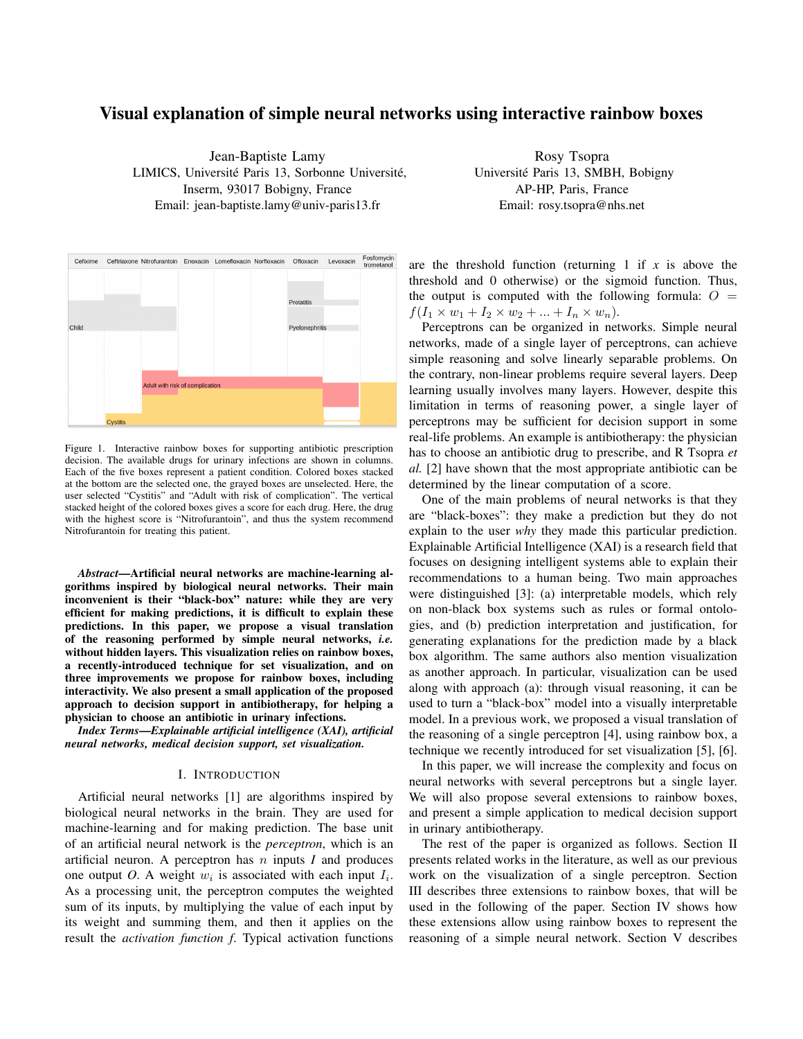# Visual explanation of simple neural networks using interactive rainbow boxes

Jean-Baptiste Lamy LIMICS, Université Paris 13, Sorbonne Université, Inserm, 93017 Bobigny, France Email: jean-baptiste.lamy@univ-paris13.fr

Rosy Tsopra Université Paris 13, SMBH, Bobigny AP-HP, Paris, France Email: rosy.tsopra@nhs.net



Figure 1. Interactive rainbow boxes for supporting antibiotic prescription decision. The available drugs for urinary infections are shown in columns. Each of the five boxes represent a patient condition. Colored boxes stacked at the bottom are the selected one, the grayed boxes are unselected. Here, the user selected "Cystitis" and "Adult with risk of complication". The vertical stacked height of the colored boxes gives a score for each drug. Here, the drug with the highest score is "Nitrofurantoin", and thus the system recommend Nitrofurantoin for treating this patient.

*Abstract*—Artificial neural networks are machine-learning algorithms inspired by biological neural networks. Their main inconvenient is their "black-box" nature: while they are very efficient for making predictions, it is difficult to explain these predictions. In this paper, we propose a visual translation of the reasoning performed by simple neural networks, *i.e.* without hidden layers. This visualization relies on rainbow boxes, a recently-introduced technique for set visualization, and on three improvements we propose for rainbow boxes, including interactivity. We also present a small application of the proposed approach to decision support in antibiotherapy, for helping a physician to choose an antibiotic in urinary infections.

*Index Terms*—*Explainable artificial intelligence (XAI), artificial neural networks, medical decision support, set visualization.*

#### I. INTRODUCTION

Artificial neural networks [1] are algorithms inspired by biological neural networks in the brain. They are used for machine-learning and for making prediction. The base unit of an artificial neural network is the *perceptron*, which is an artificial neuron. A perceptron has  $n$  inputs  $I$  and produces one output O. A weight  $w_i$  is associated with each input  $I_i$ . As a processing unit, the perceptron computes the weighted sum of its inputs, by multiplying the value of each input by its weight and summing them, and then it applies on the result the *activation function f*. Typical activation functions

are the threshold function (returning  $1$  if  $x$  is above the threshold and 0 otherwise) or the sigmoid function. Thus, the output is computed with the following formula:  $O =$  $f(I_1 \times w_1 + I_2 \times w_2 + ... + I_n \times w_n).$ 

Perceptrons can be organized in networks. Simple neural networks, made of a single layer of perceptrons, can achieve simple reasoning and solve linearly separable problems. On the contrary, non-linear problems require several layers. Deep learning usually involves many layers. However, despite this limitation in terms of reasoning power, a single layer of perceptrons may be sufficient for decision support in some real-life problems. An example is antibiotherapy: the physician has to choose an antibiotic drug to prescribe, and R Tsopra *et al.* [2] have shown that the most appropriate antibiotic can be determined by the linear computation of a score.

One of the main problems of neural networks is that they are "black-boxes": they make a prediction but they do not explain to the user *why* they made this particular prediction. Explainable Artificial Intelligence (XAI) is a research field that focuses on designing intelligent systems able to explain their recommendations to a human being. Two main approaches were distinguished [3]: (a) interpretable models, which rely on non-black box systems such as rules or formal ontologies, and (b) prediction interpretation and justification, for generating explanations for the prediction made by a black box algorithm. The same authors also mention visualization as another approach. In particular, visualization can be used along with approach (a): through visual reasoning, it can be used to turn a "black-box" model into a visually interpretable model. In a previous work, we proposed a visual translation of the reasoning of a single perceptron [4], using rainbow box, a technique we recently introduced for set visualization [5], [6].

In this paper, we will increase the complexity and focus on neural networks with several perceptrons but a single layer. We will also propose several extensions to rainbow boxes, and present a simple application to medical decision support in urinary antibiotherapy.

The rest of the paper is organized as follows. Section II presents related works in the literature, as well as our previous work on the visualization of a single perceptron. Section III describes three extensions to rainbow boxes, that will be used in the following of the paper. Section IV shows how these extensions allow using rainbow boxes to represent the reasoning of a simple neural network. Section V describes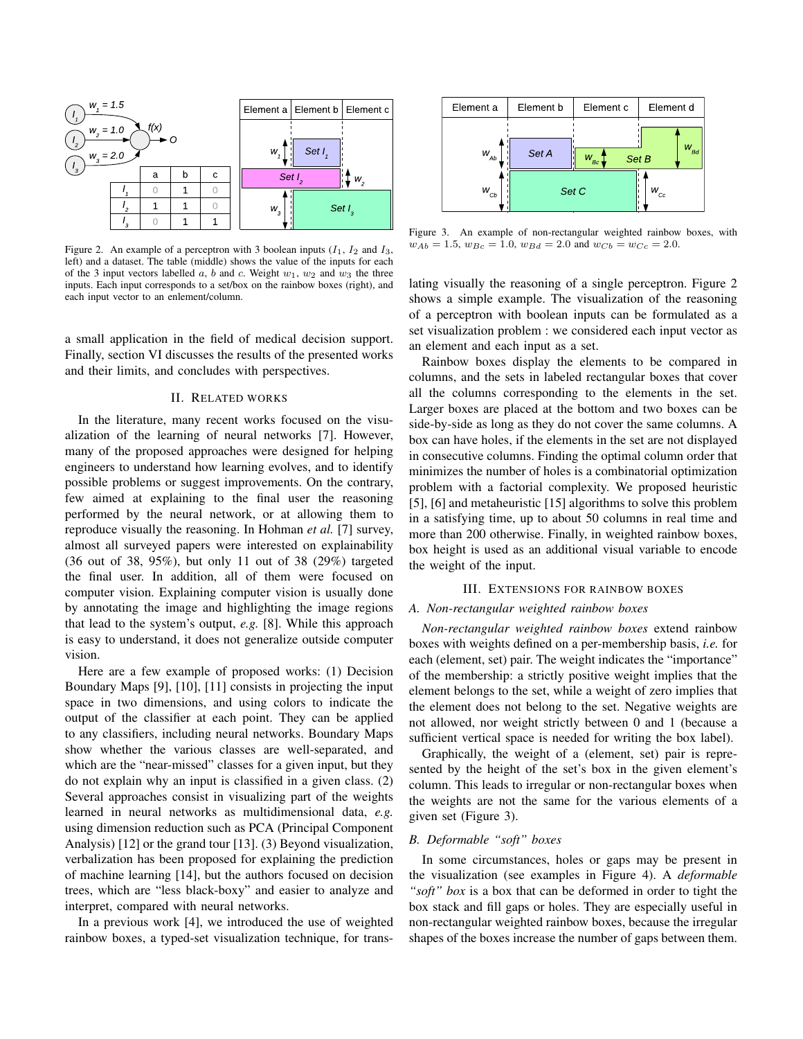

Figure 2. An example of a perceptron with 3 boolean inputs  $(I_1, I_2, I_3)$ left) and a dataset. The table (middle) shows the value of the inputs for each of the 3 input vectors labelled a, b and c. Weight  $w_1$ ,  $w_2$  and  $w_3$  the three inputs. Each input corresponds to a set/box on the rainbow boxes (right), and each input vector to an enlement/column.

a small application in the field of medical decision support. Finally, section VI discusses the results of the presented works and their limits, and concludes with perspectives.

### II. RELATED WORKS

In the literature, many recent works focused on the visualization of the learning of neural networks [7]. However, many of the proposed approaches were designed for helping engineers to understand how learning evolves, and to identify possible problems or suggest improvements. On the contrary, few aimed at explaining to the final user the reasoning performed by the neural network, or at allowing them to reproduce visually the reasoning. In Hohman *et al.* [7] survey, almost all surveyed papers were interested on explainability (36 out of 38, 95%), but only 11 out of 38 (29%) targeted the final user. In addition, all of them were focused on computer vision. Explaining computer vision is usually done by annotating the image and highlighting the image regions that lead to the system's output, *e.g.* [8]. While this approach is easy to understand, it does not generalize outside computer vision.

Here are a few example of proposed works: (1) Decision Boundary Maps [9], [10], [11] consists in projecting the input space in two dimensions, and using colors to indicate the output of the classifier at each point. They can be applied to any classifiers, including neural networks. Boundary Maps show whether the various classes are well-separated, and which are the "near-missed" classes for a given input, but they do not explain why an input is classified in a given class. (2) Several approaches consist in visualizing part of the weights learned in neural networks as multidimensional data, *e.g.* using dimension reduction such as PCA (Principal Component Analysis) [12] or the grand tour [13]. (3) Beyond visualization, verbalization has been proposed for explaining the prediction of machine learning [14], but the authors focused on decision trees, which are "less black-boxy" and easier to analyze and interpret, compared with neural networks.

In a previous work [4], we introduced the use of weighted rainbow boxes, a typed-set visualization technique, for trans-



Figure 3. An example of non-rectangular weighted rainbow boxes, with  $w_{Ab} = 1.5, w_{Bc} = 1.0, w_{Bd} = 2.0$  and  $w_{Cb} = w_{Cc} = 2.0$ .

lating visually the reasoning of a single perceptron. Figure 2 shows a simple example. The visualization of the reasoning of a perceptron with boolean inputs can be formulated as a set visualization problem : we considered each input vector as an element and each input as a set.

Rainbow boxes display the elements to be compared in columns, and the sets in labeled rectangular boxes that cover all the columns corresponding to the elements in the set. Larger boxes are placed at the bottom and two boxes can be side-by-side as long as they do not cover the same columns. A box can have holes, if the elements in the set are not displayed in consecutive columns. Finding the optimal column order that minimizes the number of holes is a combinatorial optimization problem with a factorial complexity. We proposed heuristic [5], [6] and metaheuristic [15] algorithms to solve this problem in a satisfying time, up to about 50 columns in real time and more than 200 otherwise. Finally, in weighted rainbow boxes, box height is used as an additional visual variable to encode the weight of the input.

#### III. EXTENSIONS FOR RAINBOW BOXES

### *A. Non-rectangular weighted rainbow boxes*

*Non-rectangular weighted rainbow boxes* extend rainbow boxes with weights defined on a per-membership basis, *i.e.* for each (element, set) pair. The weight indicates the "importance" of the membership: a strictly positive weight implies that the element belongs to the set, while a weight of zero implies that the element does not belong to the set. Negative weights are not allowed, nor weight strictly between 0 and 1 (because a sufficient vertical space is needed for writing the box label).

Graphically, the weight of a (element, set) pair is represented by the height of the set's box in the given element's column. This leads to irregular or non-rectangular boxes when the weights are not the same for the various elements of a given set (Figure 3).

# *B. Deformable "soft" boxes*

In some circumstances, holes or gaps may be present in the visualization (see examples in Figure 4). A *deformable "soft" box* is a box that can be deformed in order to tight the box stack and fill gaps or holes. They are especially useful in non-rectangular weighted rainbow boxes, because the irregular shapes of the boxes increase the number of gaps between them.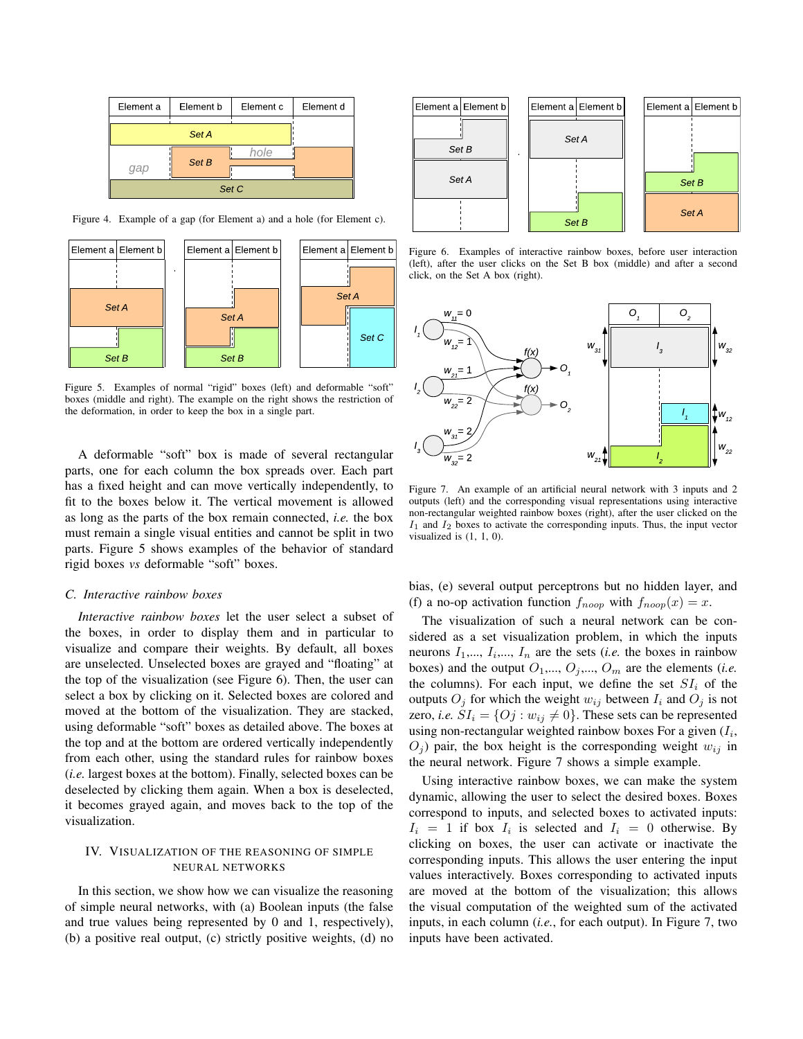| Element a | Element b | Element c | Element d |  |  |  |  |  |
|-----------|-----------|-----------|-----------|--|--|--|--|--|
|           |           |           |           |  |  |  |  |  |
| qap       | Set B     | hole      |           |  |  |  |  |  |
| Set C     |           |           |           |  |  |  |  |  |

Figure 4. Example of a gap (for Element a) and a hole (for Element c).



Figure 5. Examples of normal "rigid" boxes (left) and deformable "soft" boxes (middle and right). The example on the right shows the restriction of the deformation, in order to keep the box in a single part.

A deformable "soft" box is made of several rectangular parts, one for each column the box spreads over. Each part has a fixed height and can move vertically independently, to fit to the boxes below it. The vertical movement is allowed as long as the parts of the box remain connected, *i.e.* the box must remain a single visual entities and cannot be split in two parts. Figure 5 shows examples of the behavior of standard rigid boxes *vs* deformable "soft" boxes.

#### *C. Interactive rainbow boxes*

*Interactive rainbow boxes* let the user select a subset of the boxes, in order to display them and in particular to visualize and compare their weights. By default, all boxes are unselected. Unselected boxes are grayed and "floating" at the top of the visualization (see Figure 6). Then, the user can select a box by clicking on it. Selected boxes are colored and moved at the bottom of the visualization. They are stacked, using deformable "soft" boxes as detailed above. The boxes at the top and at the bottom are ordered vertically independently from each other, using the standard rules for rainbow boxes (*i.e.* largest boxes at the bottom). Finally, selected boxes can be deselected by clicking them again. When a box is deselected, it becomes grayed again, and moves back to the top of the visualization.

# IV. VISUALIZATION OF THE REASONING OF SIMPLE NEURAL NETWORKS

In this section, we show how we can visualize the reasoning of simple neural networks, with (a) Boolean inputs (the false and true values being represented by 0 and 1, respectively), (b) a positive real output, (c) strictly positive weights, (d) no



Figure 6. Examples of interactive rainbow boxes, before user interaction (left), after the user clicks on the Set B box (middle) and after a second click, on the Set A box (right).



Figure 7. An example of an artificial neural network with 3 inputs and 2 outputs (left) and the corresponding visual representations using interactive non-rectangular weighted rainbow boxes (right), after the user clicked on the  $I_1$  and  $I_2$  boxes to activate the corresponding inputs. Thus, the input vector visualized is (1, 1, 0).

bias, (e) several output perceptrons but no hidden layer, and (f) a no-op activation function  $f_{noop}$  with  $f_{noop}(x) = x$ .

The visualization of such a neural network can be considered as a set visualization problem, in which the inputs neurons  $I_1, ..., I_i, ..., I_n$  are the sets (*i.e.* the boxes in rainbow boxes) and the output  $O_1, ..., O_j, ..., O_m$  are the elements (*i.e.* the columns). For each input, we define the set  $SI_i$  of the outputs  $O_j$  for which the weight  $w_{ij}$  between  $I_i$  and  $O_j$  is not zero, *i.e.*  $SI_i = \{Oj : w_{ij} \neq 0\}$ . These sets can be represented using non-rectangular weighted rainbow boxes For a given  $(I_i, \mathcal{I})$  $O_i$ ) pair, the box height is the corresponding weight  $w_{ij}$  in the neural network. Figure 7 shows a simple example.

Using interactive rainbow boxes, we can make the system dynamic, allowing the user to select the desired boxes. Boxes correspond to inputs, and selected boxes to activated inputs:  $I_i = 1$  if box  $I_i$  is selected and  $I_i = 0$  otherwise. By clicking on boxes, the user can activate or inactivate the corresponding inputs. This allows the user entering the input values interactively. Boxes corresponding to activated inputs are moved at the bottom of the visualization; this allows the visual computation of the weighted sum of the activated inputs, in each column (*i.e.*, for each output). In Figure 7, two inputs have been activated.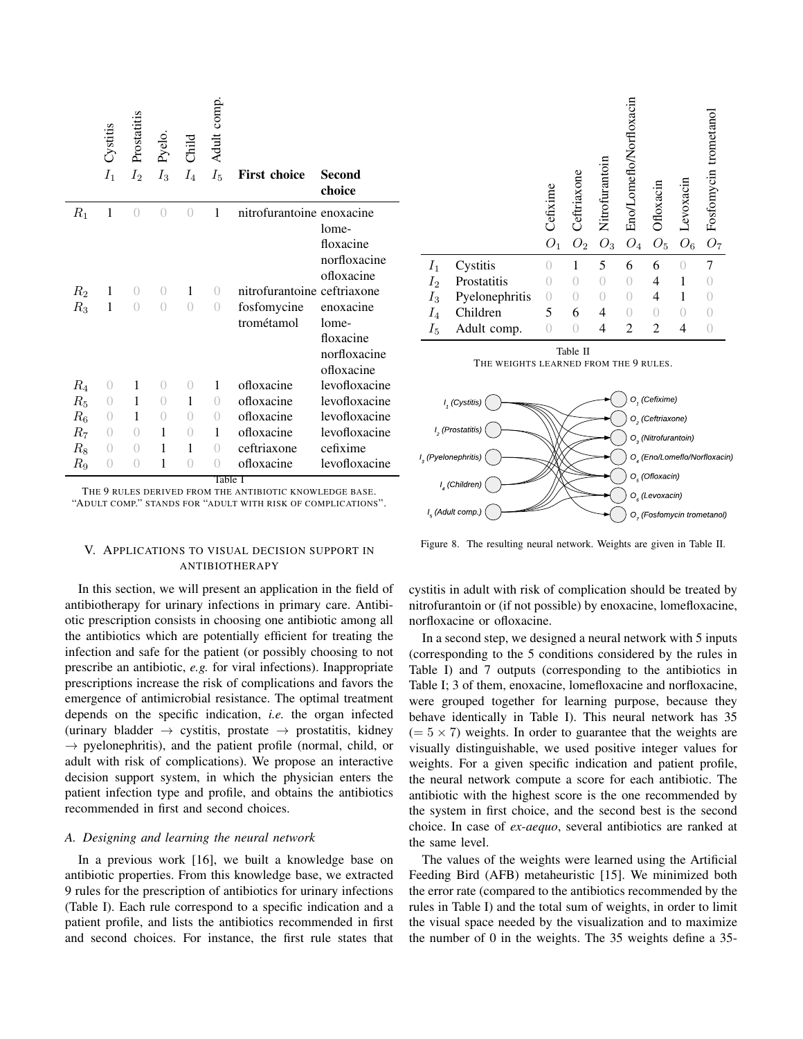|       | Cystitis<br>$I_1$ | Prostatitis<br>I <sub>2</sub> | Pyelo.<br>$I_3$  | $C$ hil $d$<br>$I_4$ | Adult comp.<br>$I_5$    | <b>First choice</b>         | Second<br>choice |
|-------|-------------------|-------------------------------|------------------|----------------------|-------------------------|-----------------------------|------------------|
| $R_1$ | 1                 | $\bigcirc$                    | $\bigcirc$       | $\bigcap$            | $\mathbf{1}$            | nitrofurantoine enoxacine   |                  |
|       |                   |                               |                  |                      |                         |                             | lome-            |
|       |                   |                               |                  |                      |                         |                             | floxacine        |
|       |                   |                               |                  |                      |                         |                             | norfloxacine     |
|       |                   |                               |                  |                      |                         |                             | ofloxacine       |
| $R_2$ | 1                 | $\left( \right)$              | $\overline{0}$   | 1                    | $\overline{0}$          | nitrofurantoine ceftriaxone |                  |
| $R_3$ | 1                 | $\bigcap$                     | $\bigcirc$       | $\left( \right)$     | $\left( \right)$        | fosfomycine                 | enoxacine        |
|       |                   |                               |                  |                      |                         | trométamol                  | lome-            |
|       |                   |                               |                  |                      |                         |                             | floxacine        |
|       |                   |                               |                  |                      |                         |                             | norfloxacine     |
|       |                   |                               |                  |                      |                         |                             | ofloxacine       |
| $R_4$ | $\left( \right)$  | 1                             | $\left( \right)$ | $\bigcirc$           | 1                       | ofloxacine                  | levofloxacine    |
| $R_5$ | $\left( \right)$  | 1                             | $\left( \right)$ | 1                    | $\left( \right)$        | ofloxacine                  | levofloxacine    |
| $R_6$ | $\theta$          | 1                             | $\left( \right)$ | $\left( \right)$     | $\left( \right)$        | ofloxacine                  | levofloxacine    |
| $R_7$ | $\theta$          | $\left( \right)$              | 1                | $\theta$             | 1                       | ofloxacine                  | levofloxacine    |
| $R_8$ | $\left( \right)$  | $\left( \right)$              | 1                | 1                    | $\left( \right)$        | ceftriaxone                 | cefixime         |
| $R_9$ | $\left( \right)$  | $\left( \right)$              | 1                | $\left( \right)$     | $\bigcirc$<br>$T_2L1_2$ | ofloxacine                  | levofloxacine    |

Table I

THE 9 RULES DERIVED FROM THE ANTIBIOTIC KNOWLEDGE BASE. "ADULT COMP." STANDS FOR "ADULT WITH RISK OF COMPLICATIONS".

# V. APPLICATIONS TO VISUAL DECISION SUPPORT IN ANTIBIOTHERAPY

In this section, we will present an application in the field of antibiotherapy for urinary infections in primary care. Antibiotic prescription consists in choosing one antibiotic among all the antibiotics which are potentially efficient for treating the infection and safe for the patient (or possibly choosing to not prescribe an antibiotic, *e.g.* for viral infections). Inappropriate prescriptions increase the risk of complications and favors the emergence of antimicrobial resistance. The optimal treatment depends on the specific indication, *i.e.* the organ infected (urinary bladder  $\rightarrow$  cystitis, prostate  $\rightarrow$  prostatitis, kidney  $\rightarrow$  pyelonephritis), and the patient profile (normal, child, or adult with risk of complications). We propose an interactive decision support system, in which the physician enters the patient infection type and profile, and obtains the antibiotics recommended in first and second choices.

### *A. Designing and learning the neural network*

In a previous work [16], we built a knowledge base on antibiotic properties. From this knowledge base, we extracted 9 rules for the prescription of antibiotics for urinary infections (Table I). Each rule correspond to a specific indication and a patient profile, and lists the antibiotics recommended in first and second choices. For instance, the first rule states that







Figure 8. The resulting neural network. Weights are given in Table II.

cystitis in adult with risk of complication should be treated by nitrofurantoin or (if not possible) by enoxacine, lomefloxacine, norfloxacine or ofloxacine.

In a second step, we designed a neural network with 5 inputs (corresponding to the 5 conditions considered by the rules in Table I) and 7 outputs (corresponding to the antibiotics in Table I; 3 of them, enoxacine, lomefloxacine and norfloxacine, were grouped together for learning purpose, because they behave identically in Table I). This neural network has 35  $(= 5 \times 7)$  weights. In order to guarantee that the weights are visually distinguishable, we used positive integer values for weights. For a given specific indication and patient profile, the neural network compute a score for each antibiotic. The antibiotic with the highest score is the one recommended by the system in first choice, and the second best is the second choice. In case of *ex-aequo*, several antibiotics are ranked at the same level.

The values of the weights were learned using the Artificial Feeding Bird (AFB) metaheuristic [15]. We minimized both the error rate (compared to the antibiotics recommended by the rules in Table I) and the total sum of weights, in order to limit the visual space needed by the visualization and to maximize the number of 0 in the weights. The 35 weights define a 35-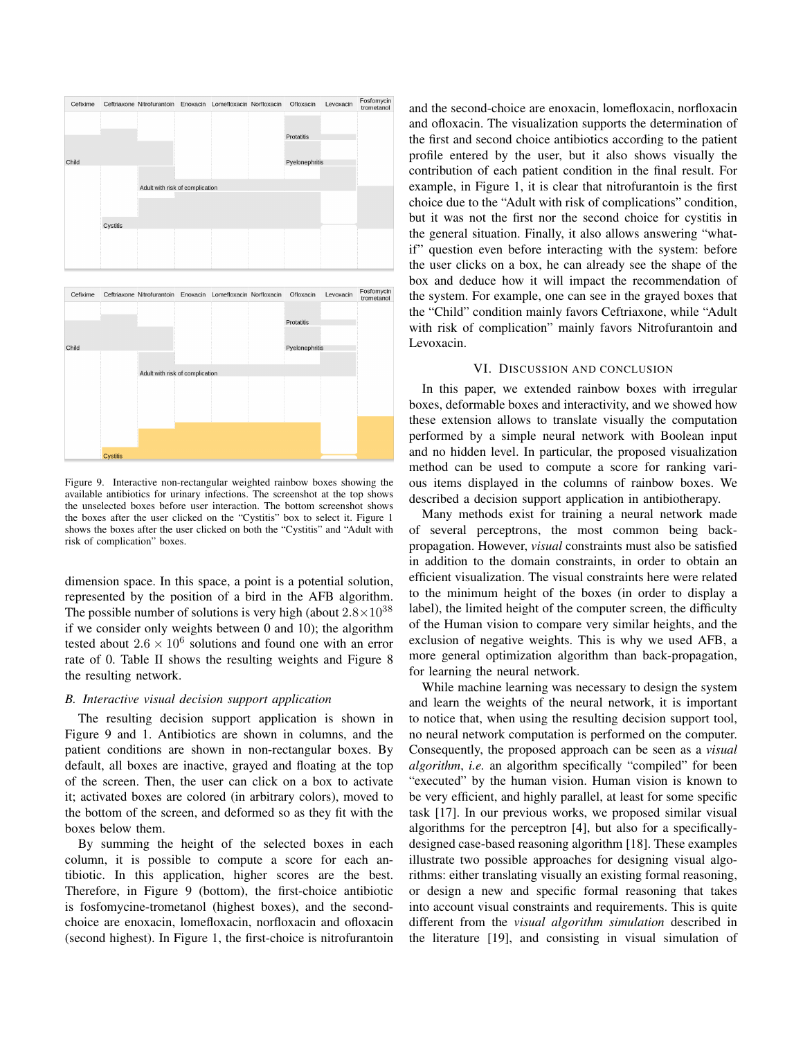

Figure 9. Interactive non-rectangular weighted rainbow boxes showing the available antibiotics for urinary infections. The screenshot at the top shows the unselected boxes before user interaction. The bottom screenshot shows the boxes after the user clicked on the "Cystitis" box to select it. Figure 1 shows the boxes after the user clicked on both the "Cystitis" and "Adult with risk of complication" boxes.

dimension space. In this space, a point is a potential solution, represented by the position of a bird in the AFB algorithm. The possible number of solutions is very high (about  $2.8\times10^{38}$ ) if we consider only weights between 0 and 10); the algorithm tested about  $2.6 \times 10^6$  solutions and found one with an error rate of 0. Table II shows the resulting weights and Figure 8 the resulting network.

### *B. Interactive visual decision support application*

The resulting decision support application is shown in Figure 9 and 1. Antibiotics are shown in columns, and the patient conditions are shown in non-rectangular boxes. By default, all boxes are inactive, grayed and floating at the top of the screen. Then, the user can click on a box to activate it; activated boxes are colored (in arbitrary colors), moved to the bottom of the screen, and deformed so as they fit with the boxes below them.

By summing the height of the selected boxes in each column, it is possible to compute a score for each antibiotic. In this application, higher scores are the best. Therefore, in Figure 9 (bottom), the first-choice antibiotic is fosfomycine-trometanol (highest boxes), and the secondchoice are enoxacin, lomefloxacin, norfloxacin and ofloxacin (second highest). In Figure 1, the first-choice is nitrofurantoin

and the second-choice are enoxacin, lomefloxacin, norfloxacin and ofloxacin. The visualization supports the determination of the first and second choice antibiotics according to the patient profile entered by the user, but it also shows visually the contribution of each patient condition in the final result. For example, in Figure 1, it is clear that nitrofurantoin is the first choice due to the "Adult with risk of complications" condition, but it was not the first nor the second choice for cystitis in the general situation. Finally, it also allows answering "whatif" question even before interacting with the system: before the user clicks on a box, he can already see the shape of the box and deduce how it will impact the recommendation of the system. For example, one can see in the grayed boxes that the "Child" condition mainly favors Ceftriaxone, while "Adult with risk of complication" mainly favors Nitrofurantoin and Levoxacin.

### VI. DISCUSSION AND CONCLUSION

In this paper, we extended rainbow boxes with irregular boxes, deformable boxes and interactivity, and we showed how these extension allows to translate visually the computation performed by a simple neural network with Boolean input and no hidden level. In particular, the proposed visualization method can be used to compute a score for ranking various items displayed in the columns of rainbow boxes. We described a decision support application in antibiotherapy.

Many methods exist for training a neural network made of several perceptrons, the most common being backpropagation. However, *visual* constraints must also be satisfied in addition to the domain constraints, in order to obtain an efficient visualization. The visual constraints here were related to the minimum height of the boxes (in order to display a label), the limited height of the computer screen, the difficulty of the Human vision to compare very similar heights, and the exclusion of negative weights. This is why we used AFB, a more general optimization algorithm than back-propagation, for learning the neural network.

While machine learning was necessary to design the system and learn the weights of the neural network, it is important to notice that, when using the resulting decision support tool, no neural network computation is performed on the computer. Consequently, the proposed approach can be seen as a *visual algorithm*, *i.e.* an algorithm specifically "compiled" for been "executed" by the human vision. Human vision is known to be very efficient, and highly parallel, at least for some specific task [17]. In our previous works, we proposed similar visual algorithms for the perceptron [4], but also for a specificallydesigned case-based reasoning algorithm [18]. These examples illustrate two possible approaches for designing visual algorithms: either translating visually an existing formal reasoning, or design a new and specific formal reasoning that takes into account visual constraints and requirements. This is quite different from the *visual algorithm simulation* described in the literature [19], and consisting in visual simulation of